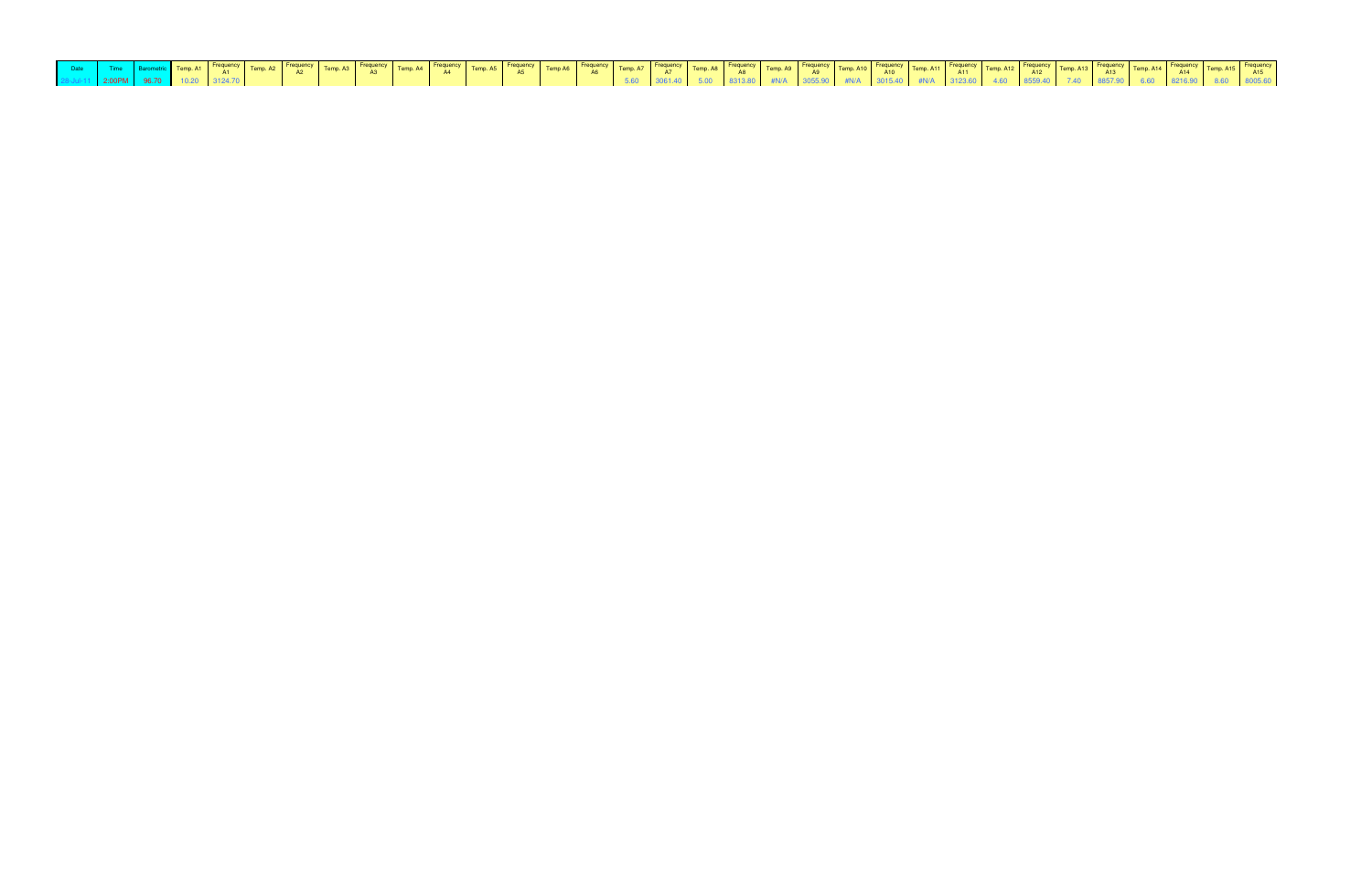| $28-101-11$ $28-100 \text{PM}$ $28-100 \text{PM}$ $28-100 \text{PM}$ $28-100 \text{PM}$ $28-100 \text{PM}$ $28-100 \text{PM}$ $28-100 \text{PM}$ $28-100 \text{PM}$ $28-100 \text{MP}$ $28-100 \text{MP}$ $28-100 \text{MP}$ $28-100 \text{MP}$ $28-100 \text{MP}$ $28-100 \text{MP}$ $28-100 \text{MP}$ |  |  |  |  |  |  |  |  |  |  |  |  |  |  |  |  |
|----------------------------------------------------------------------------------------------------------------------------------------------------------------------------------------------------------------------------------------------------------------------------------------------------------|--|--|--|--|--|--|--|--|--|--|--|--|--|--|--|--|
|                                                                                                                                                                                                                                                                                                          |  |  |  |  |  |  |  |  |  |  |  |  |  |  |  |  |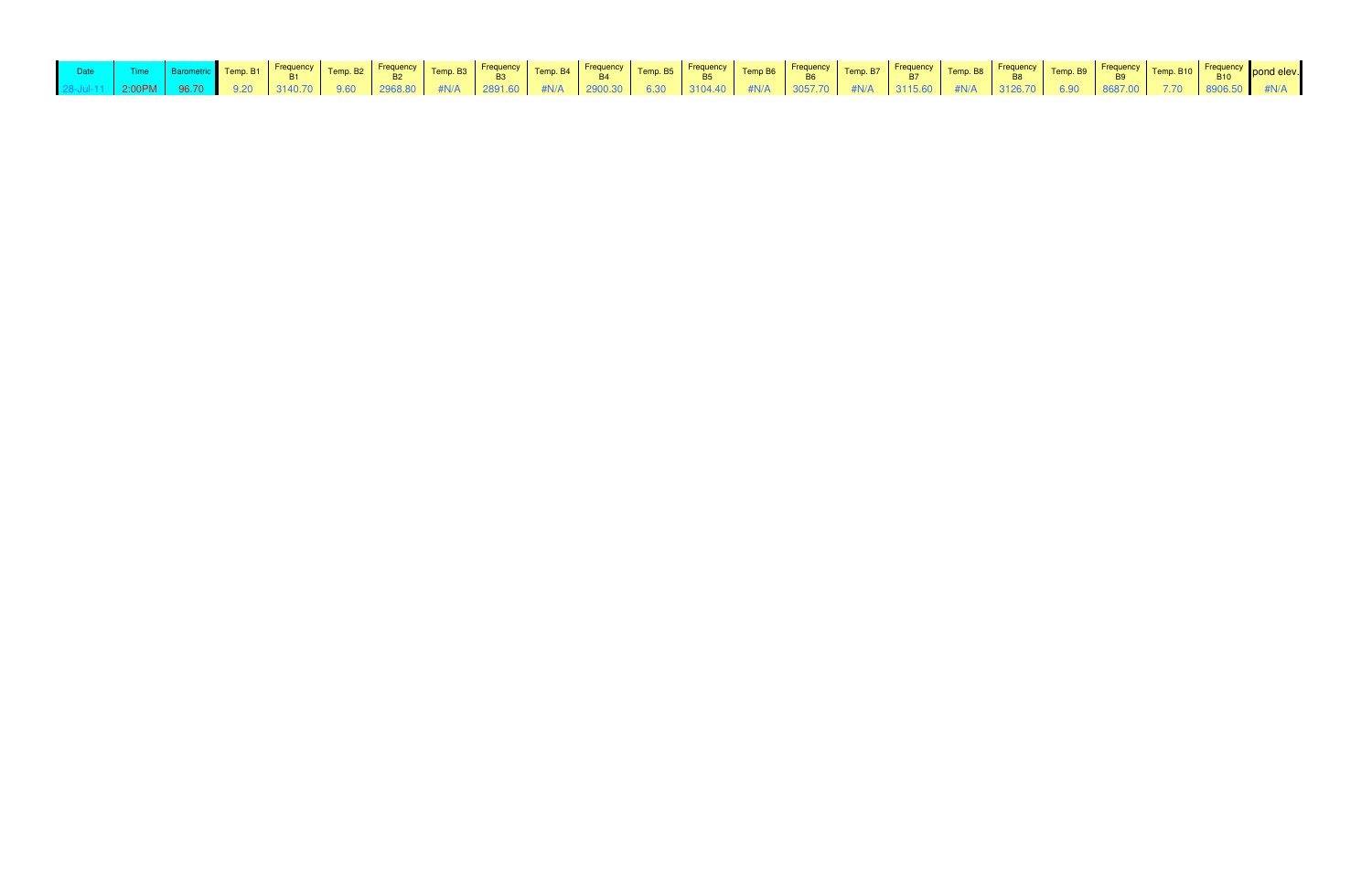| Date Time Barometric Temp. B1 Frequency Temp. B2 Frequency Temp. B3 Frequency Temp. B4 Frequency Temp. B5 Frequency Temp. B6 Frequency Temp. B7 Frequency Temp. B8 Frequency Temp. B9 Frequency Temp. B1 B1 B10 B10 B10 B10 B |  |  |  |  |  |  |  |  |  |  |  |  |
|-------------------------------------------------------------------------------------------------------------------------------------------------------------------------------------------------------------------------------|--|--|--|--|--|--|--|--|--|--|--|--|
|                                                                                                                                                                                                                               |  |  |  |  |  |  |  |  |  |  |  |  |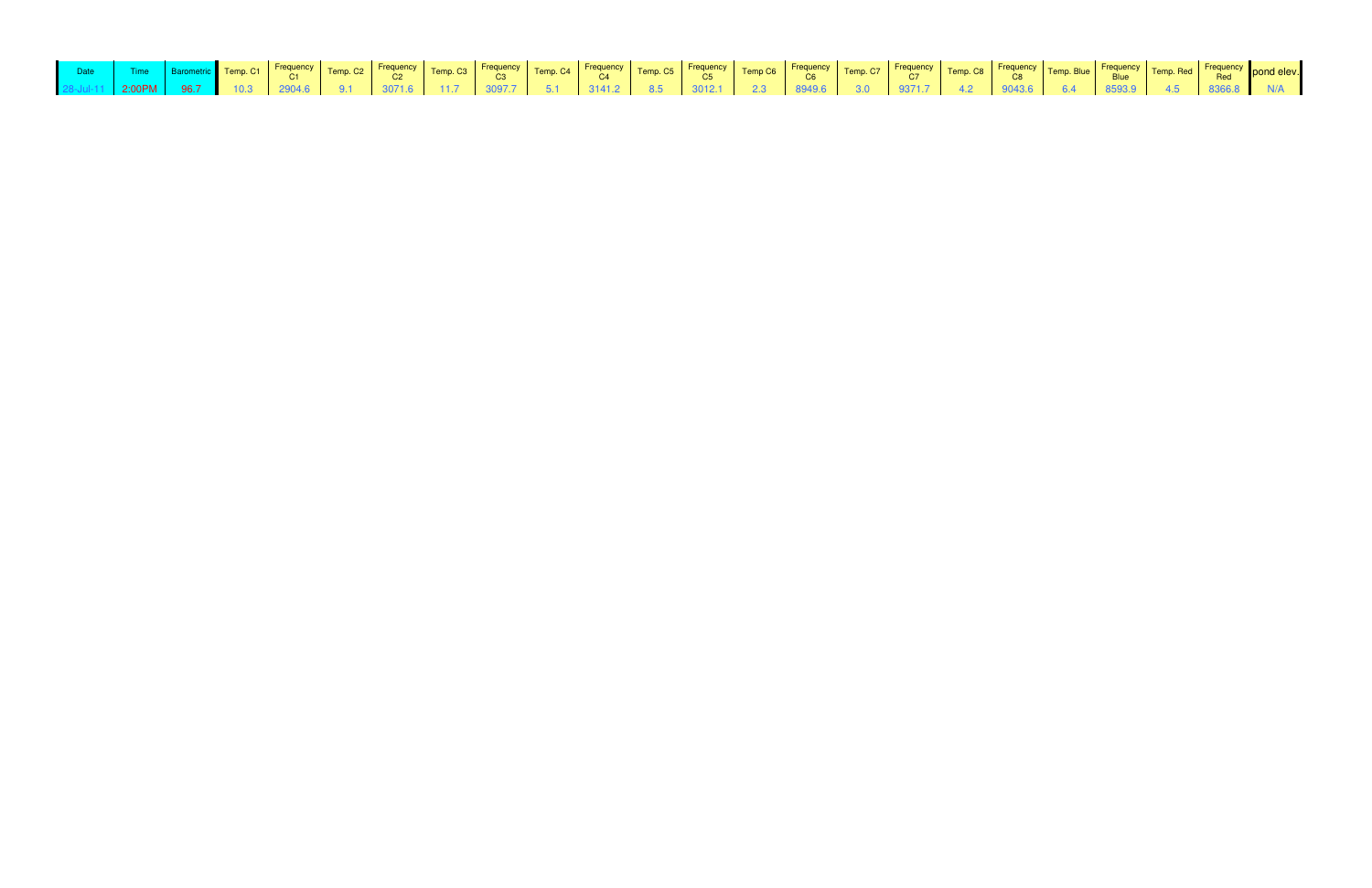| Date Time Barometric Temp.C1 Frequency Temp.C2 Frequency Temp.C3 Frequency Temp.C4 Frequency Temp.C5 Frequency Temp.C6 Frequency Temp.C6 Frequency Temp.C7 Frequency Temp.C8 Frequency Temp.C8 Frequency Temp.C6 C6 C6 C6 C7 T |  |  |  |  |  |  |  |  |  |  |  |  |
|--------------------------------------------------------------------------------------------------------------------------------------------------------------------------------------------------------------------------------|--|--|--|--|--|--|--|--|--|--|--|--|
|                                                                                                                                                                                                                                |  |  |  |  |  |  |  |  |  |  |  |  |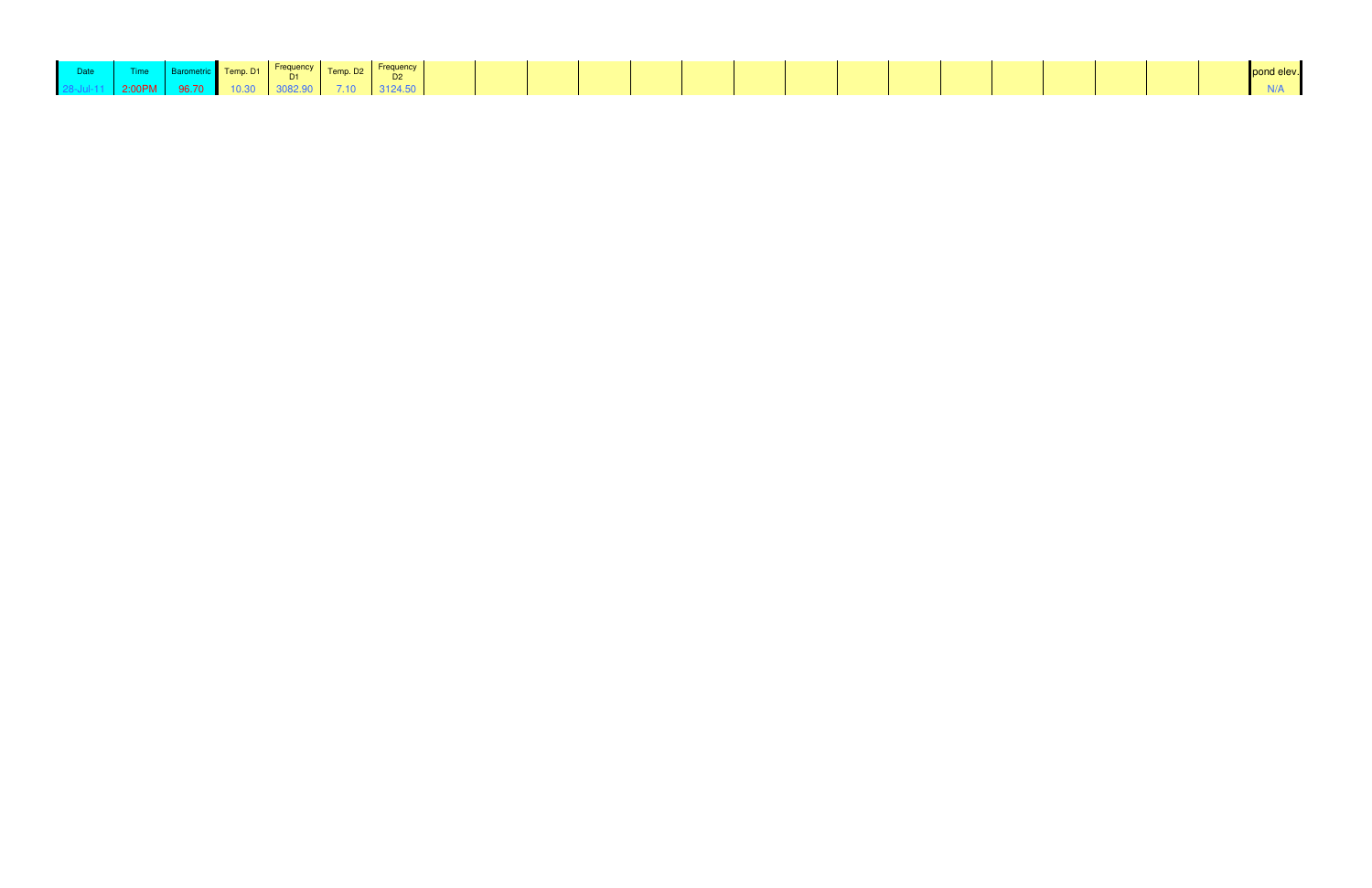| Date |                            |  |             | Time Barometric Temp. D1 Frequency Temp. D2 Frequency |  |  |  |  |  |
|------|----------------------------|--|-------------|-------------------------------------------------------|--|--|--|--|--|
|      | 2:00PM 96.70 10.30 3082.90 |  | $\sim$ 7.10 |                                                       |  |  |  |  |  |

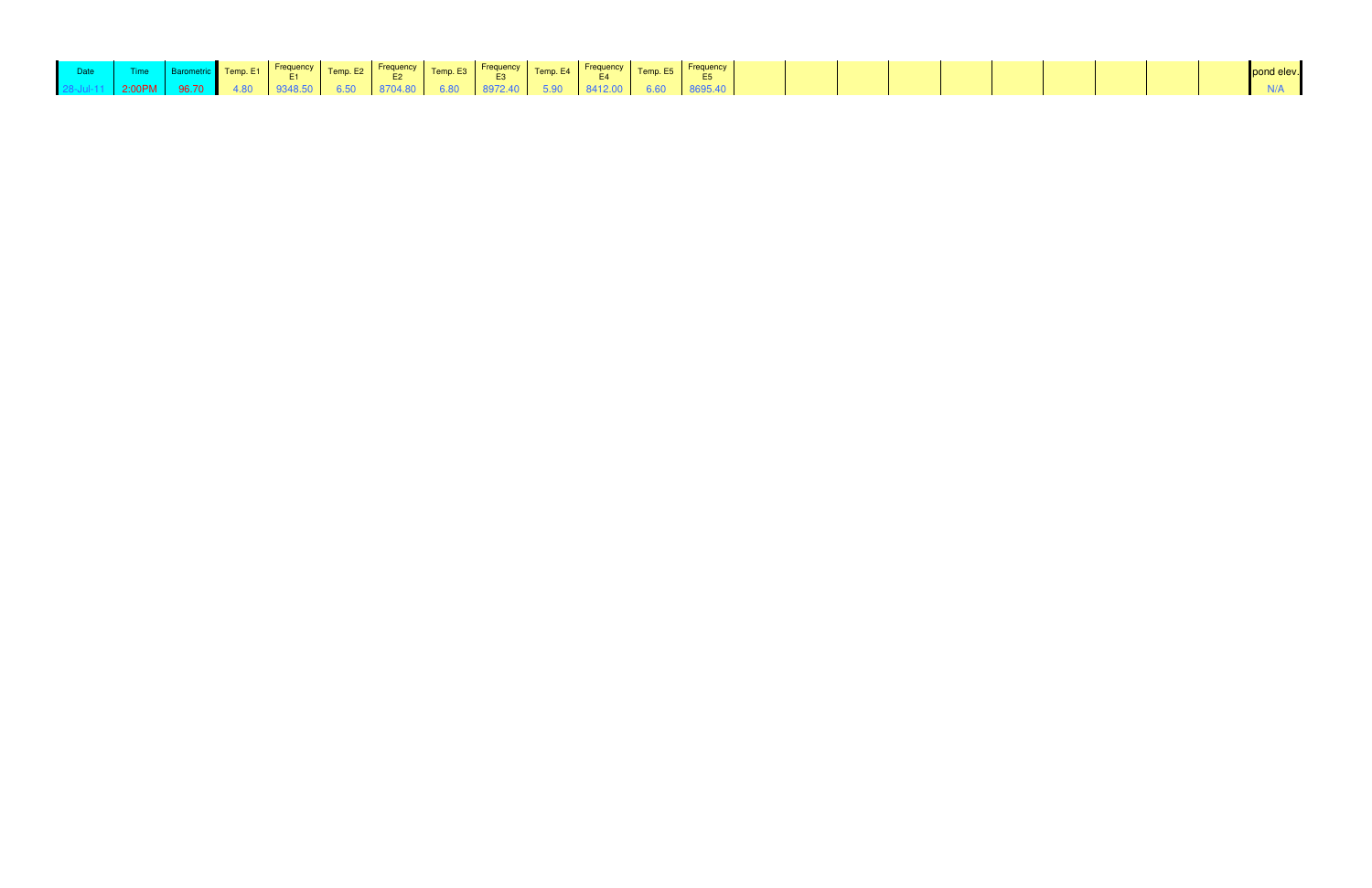|  |  |  |  | <b>Example 1</b> Comparing temp. E1 Frequency Temp. E2 Frequency Temp. E3 Frequency Temp. E4 Frequency Temp. E5 Frequency E5 E5 |  |  |
|--|--|--|--|---------------------------------------------------------------------------------------------------------------------------------|--|--|
|  |  |  |  | 2:00PM   96.70   4.80   9348.50   6.50   8704.80   6.80   8972.40   5.90   8412.00   6.60   8695.40                             |  |  |

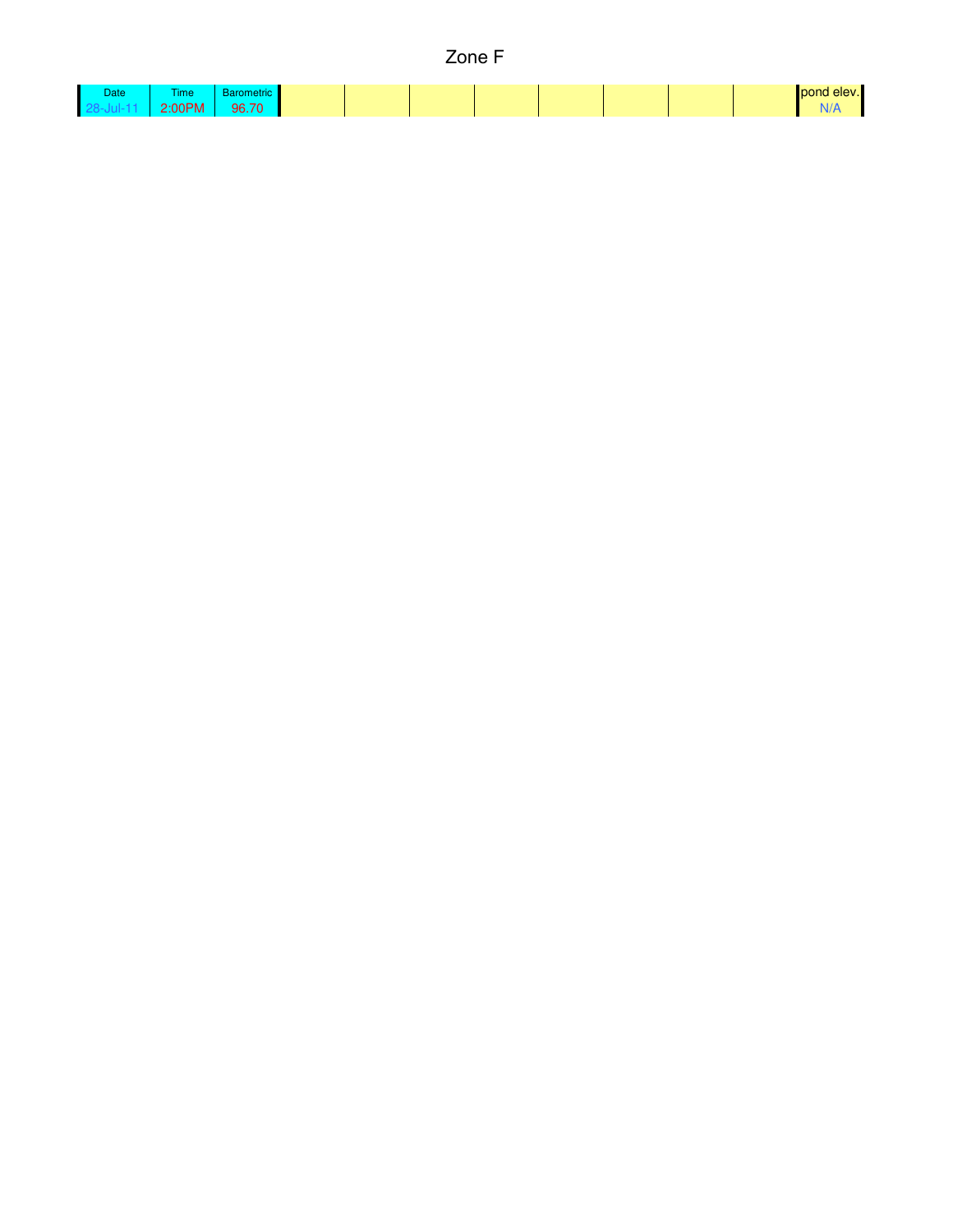| × |  |
|---|--|
|---|--|

| Date: | ïme                                                                             | . .                                      |  |  |  |  | pond |
|-------|---------------------------------------------------------------------------------|------------------------------------------|--|--|--|--|------|
|       | $\sim$ $\sim$ $\sim$ $\sim$<br>$\sim$ $\sim$<br>. .<br><br>$\blacksquare$<br>-- | $70^{\circ}$<br>$\overline{\phantom{a}}$ |  |  |  |  |      |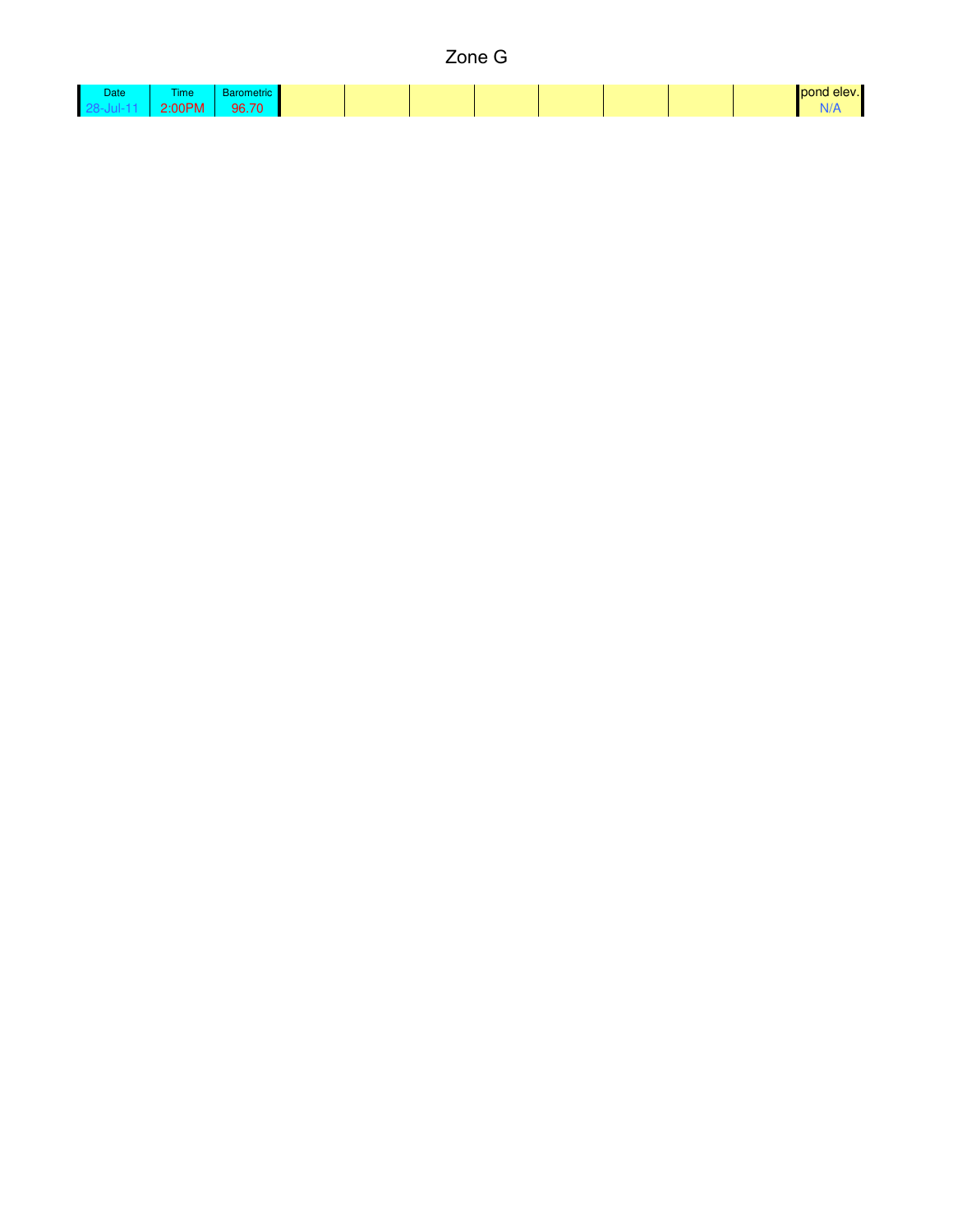## Zone G

| Date | ime.                                                      | ⊶nculu——                     |  |  |  |  | nond |
|------|-----------------------------------------------------------|------------------------------|--|--|--|--|------|
|      | $\sim$ $\sim$ $\sim$ $\sim$ $\sim$<br>$\mathbf{u}$<br>$-$ | 70 <sup>2</sup><br>--<br>- - |  |  |  |  |      |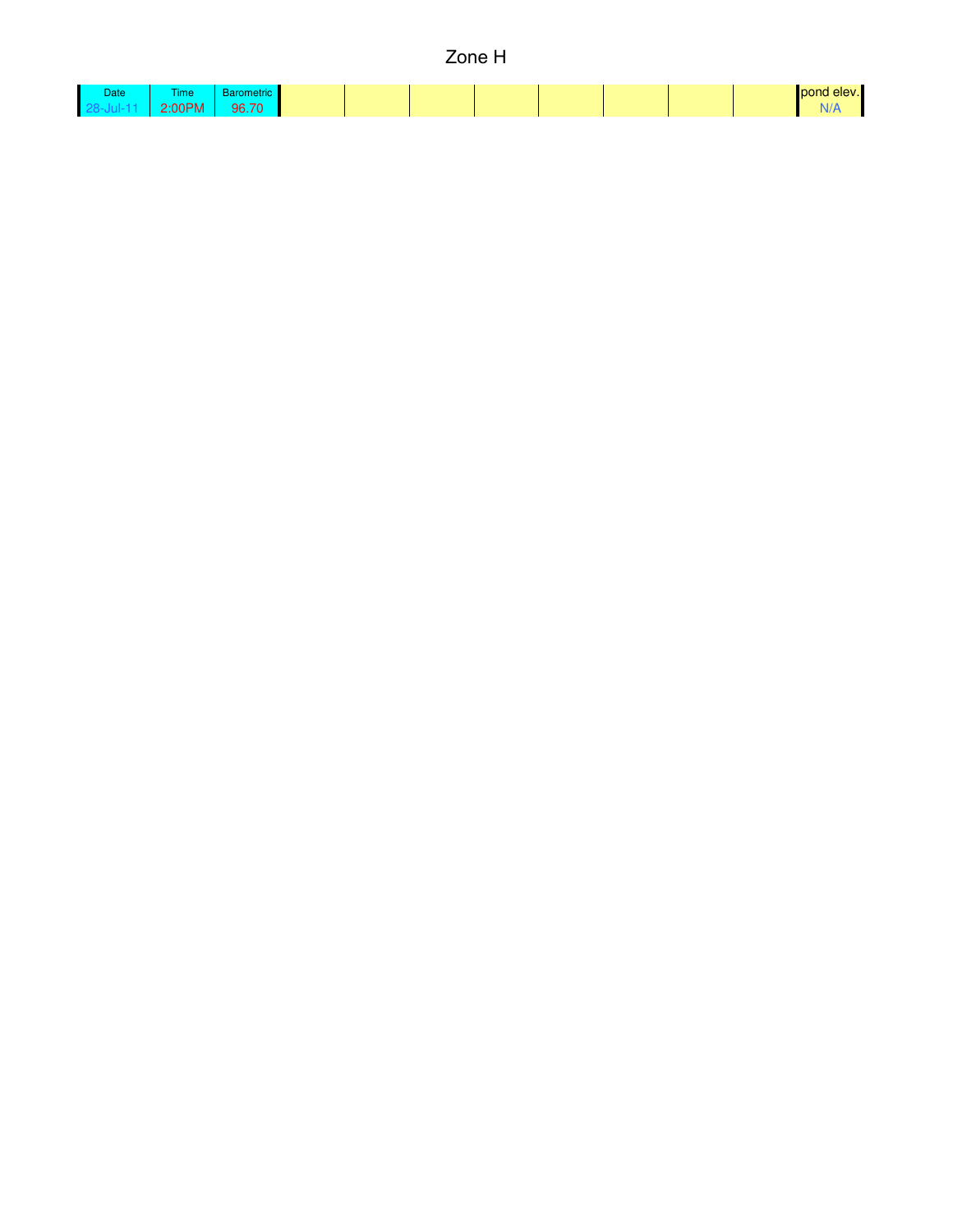## Zone H

| <b>Date</b> | <b>Time</b>             | metric<br>υαιν |  |  |  | max |
|-------------|-------------------------|----------------|--|--|--|-----|
|             | 0.00011<br>88 H<br>$-1$ | 96.70<br>, , , |  |  |  |     |